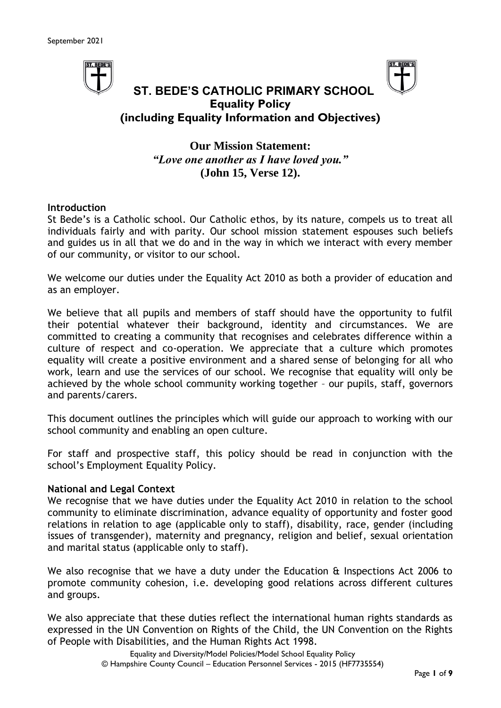



## **ST. BEDE'S CATHOLIC PRIMARY SCHOOL Equality Policy (including Equality Information and Objectives)**

**Our Mission Statement:** *"Love one another as I have loved you."* **(John 15, Verse 12).**

#### **Introduction**

St Bede's is a Catholic school. Our Catholic ethos, by its nature, compels us to treat all individuals fairly and with parity. Our school mission statement espouses such beliefs and guides us in all that we do and in the way in which we interact with every member of our community, or visitor to our school.

We welcome our duties under the Equality Act 2010 as both a provider of education and as an employer.

We believe that all pupils and members of staff should have the opportunity to fulfil their potential whatever their background, identity and circumstances. We are committed to creating a community that recognises and celebrates difference within a culture of respect and co-operation. We appreciate that a culture which promotes equality will create a positive environment and a shared sense of belonging for all who work, learn and use the services of our school. We recognise that equality will only be achieved by the whole school community working together – our pupils, staff, governors and parents/carers.

This document outlines the principles which will guide our approach to working with our school community and enabling an open culture.

For staff and prospective staff, this policy should be read in conjunction with the school's Employment Equality Policy.

#### **National and Legal Context**

We recognise that we have duties under the Equality Act 2010 in relation to the school community to eliminate discrimination, advance equality of opportunity and foster good relations in relation to age (applicable only to staff), disability, race, gender (including issues of transgender), maternity and pregnancy, religion and belief, sexual orientation and marital status (applicable only to staff).

We also recognise that we have a duty under the Education & Inspections Act 2006 to promote community cohesion, i.e. developing good relations across different cultures and groups.

We also appreciate that these duties reflect the international human rights standards as expressed in the UN Convention on Rights of the Child, the UN Convention on the Rights of People with Disabilities, and the Human Rights Act 1998.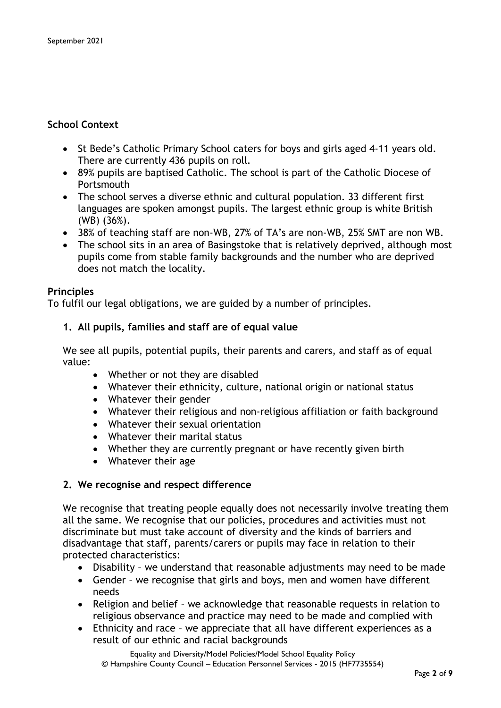## **School Context**

- St Bede's Catholic Primary School caters for boys and girls aged 4-11 years old. There are currently 436 pupils on roll.
- 89% pupils are baptised Catholic. The school is part of the Catholic Diocese of **Portsmouth**
- The school serves a diverse ethnic and cultural population. 33 different first languages are spoken amongst pupils. The largest ethnic group is white British (WB) (36%).
- 38% of teaching staff are non-WB, 27% of TA's are non-WB, 25% SMT are non WB.
- The school sits in an area of Basingstoke that is relatively deprived, although most pupils come from stable family backgrounds and the number who are deprived does not match the locality.

#### **Principles**

To fulfil our legal obligations, we are guided by a number of principles.

#### **1. All pupils, families and staff are of equal value**

We see all pupils, potential pupils, their parents and carers, and staff as of equal value:

- Whether or not they are disabled
- Whatever their ethnicity, culture, national origin or national status
- Whatever their gender
- Whatever their religious and non-religious affiliation or faith background
- Whatever their sexual orientation
- Whatever their marital status
- Whether they are currently pregnant or have recently given birth
- Whatever their age

#### **2. We recognise and respect difference**

We recognise that treating people equally does not necessarily involve treating them all the same. We recognise that our policies, procedures and activities must not discriminate but must take account of diversity and the kinds of barriers and disadvantage that staff, parents/carers or pupils may face in relation to their protected characteristics:

- Disability we understand that reasonable adjustments may need to be made
- Gender we recognise that girls and boys, men and women have different needs
- Religion and belief we acknowledge that reasonable requests in relation to religious observance and practice may need to be made and complied with
- Ethnicity and race we appreciate that all have different experiences as a result of our ethnic and racial backgrounds

Equality and Diversity/Model Policies/Model School Equality Policy © Hampshire County Council – Education Personnel Services - 2015 (HF7735554)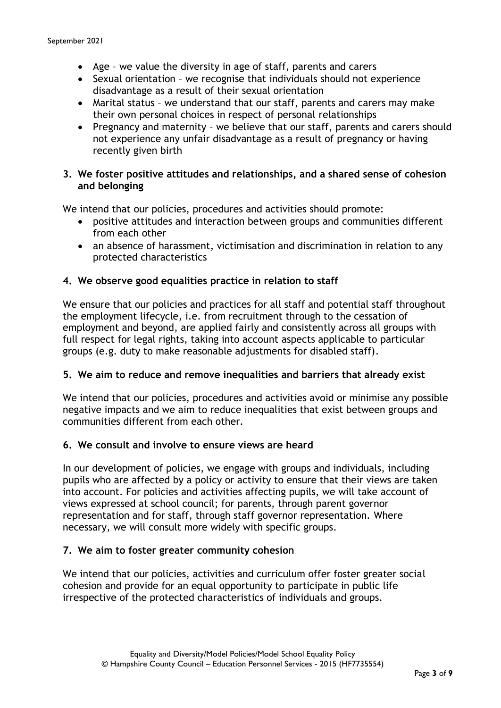- Age we value the diversity in age of staff, parents and carers
- Sexual orientation we recognise that individuals should not experience disadvantage as a result of their sexual orientation
- Marital status we understand that our staff, parents and carers may make their own personal choices in respect of personal relationships
- Pregnancy and maternity we believe that our staff, parents and carers should not experience any unfair disadvantage as a result of pregnancy or having recently given birth

#### **3. We foster positive attitudes and relationships, and a shared sense of cohesion and belonging**

We intend that our policies, procedures and activities should promote:

- positive attitudes and interaction between groups and communities different from each other
- an absence of harassment, victimisation and discrimination in relation to any protected characteristics

### **4. We observe good equalities practice in relation to staff**

We ensure that our policies and practices for all staff and potential staff throughout the employment lifecycle, i.e. from recruitment through to the cessation of employment and beyond, are applied fairly and consistently across all groups with full respect for legal rights, taking into account aspects applicable to particular groups (e.g. duty to make reasonable adjustments for disabled staff).

#### **5. We aim to reduce and remove inequalities and barriers that already exist**

We intend that our policies, procedures and activities avoid or minimise any possible negative impacts and we aim to reduce inequalities that exist between groups and communities different from each other.

#### **6. We consult and involve to ensure views are heard**

In our development of policies, we engage with groups and individuals, including pupils who are affected by a policy or activity to ensure that their views are taken into account. For policies and activities affecting pupils, we will take account of views expressed at school council; for parents, through parent governor representation and for staff, through staff governor representation. Where necessary, we will consult more widely with specific groups.

#### **7. We aim to foster greater community cohesion**

We intend that our policies, activities and curriculum offer foster greater social cohesion and provide for an equal opportunity to participate in public life irrespective of the protected characteristics of individuals and groups.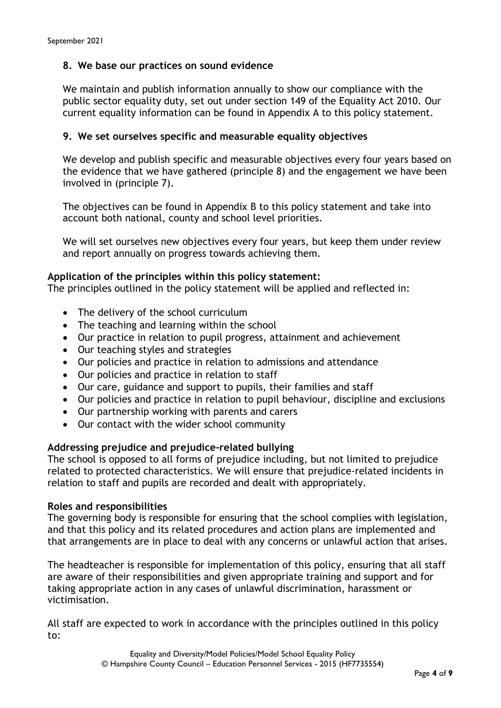### **8. We base our practices on sound evidence**

We maintain and publish information annually to show our compliance with the public sector equality duty, set out under section 149 of the Equality Act 2010. Our current equality information can be found in Appendix A to this policy statement.

#### **9. We set ourselves specific and measurable equality objectives**

We develop and publish specific and measurable objectives every four years based on the evidence that we have gathered (principle 8) and the engagement we have been involved in (principle 7).

The objectives can be found in Appendix B to this policy statement and take into account both national, county and school level priorities.

We will set ourselves new objectives every four years, but keep them under review and report annually on progress towards achieving them.

#### **Application of the principles within this policy statement:**

The principles outlined in the policy statement will be applied and reflected in:

- The delivery of the school curriculum
- The teaching and learning within the school
- Our practice in relation to pupil progress, attainment and achievement
- Our teaching styles and strategies
- Our policies and practice in relation to admissions and attendance
- Our policies and practice in relation to staff
- Our care, guidance and support to pupils, their families and staff
- Our policies and practice in relation to pupil behaviour, discipline and exclusions
- Our partnership working with parents and carers
- Our contact with the wider school community

#### **Addressing prejudice and prejudice-related bullying**

The school is opposed to all forms of prejudice including, but not limited to prejudice related to protected characteristics. We will ensure that prejudice-related incidents in relation to staff and pupils are recorded and dealt with appropriately.

#### **Roles and responsibilities**

The governing body is responsible for ensuring that the school complies with legislation, and that this policy and its related procedures and action plans are implemented and that arrangements are in place to deal with any concerns or unlawful action that arises.

The headteacher is responsible for implementation of this policy, ensuring that all staff are aware of their responsibilities and given appropriate training and support and for taking appropriate action in any cases of unlawful discrimination, harassment or victimisation.

All staff are expected to work in accordance with the principles outlined in this policy to: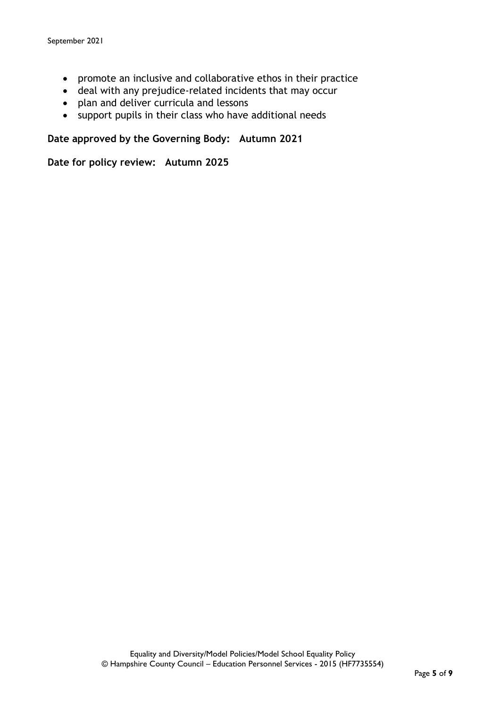- promote an inclusive and collaborative ethos in their practice
- deal with any prejudice-related incidents that may occur
- plan and deliver curricula and lessons
- support pupils in their class who have additional needs

**Date approved by the Governing Body: Autumn 2021**

**Date for policy review: Autumn 2025**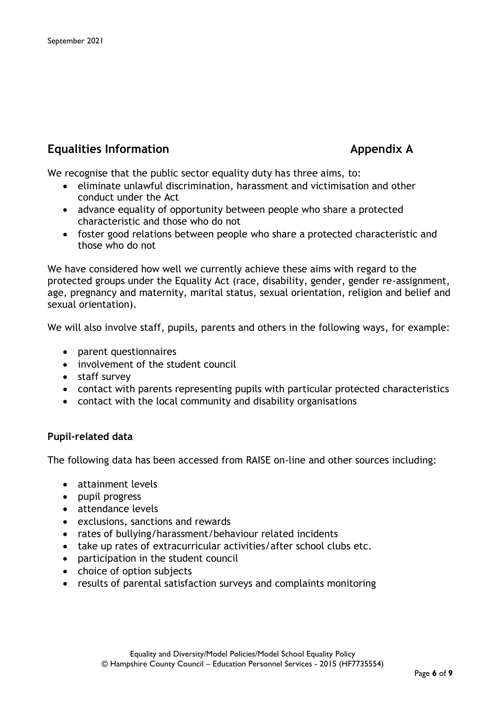# **Equalities Information Appendix A**

We recognise that the public sector equality duty has three aims, to:

- eliminate unlawful discrimination, harassment and victimisation and other conduct under the Act
- advance equality of opportunity between people who share a protected characteristic and those who do not
- foster good relations between people who share a protected characteristic and those who do not

We have considered how well we currently achieve these aims with regard to the protected groups under the Equality Act (race, disability, gender, gender re-assignment, age, pregnancy and maternity, marital status, sexual orientation, religion and belief and sexual orientation).

We will also involve staff, pupils, parents and others in the following ways, for example:

- parent questionnaires
- involvement of the student council
- staff survey
- contact with parents representing pupils with particular protected characteristics
- contact with the local community and disability organisations

#### **Pupil-related data**

The following data has been accessed from RAISE on-line and other sources including:

- attainment levels
- pupil progress
- attendance levels
- exclusions, sanctions and rewards
- rates of bullying/harassment/behaviour related incidents
- take up rates of extracurricular activities/after school clubs etc.
- participation in the student council
- choice of option subjects
- results of parental satisfaction surveys and complaints monitoring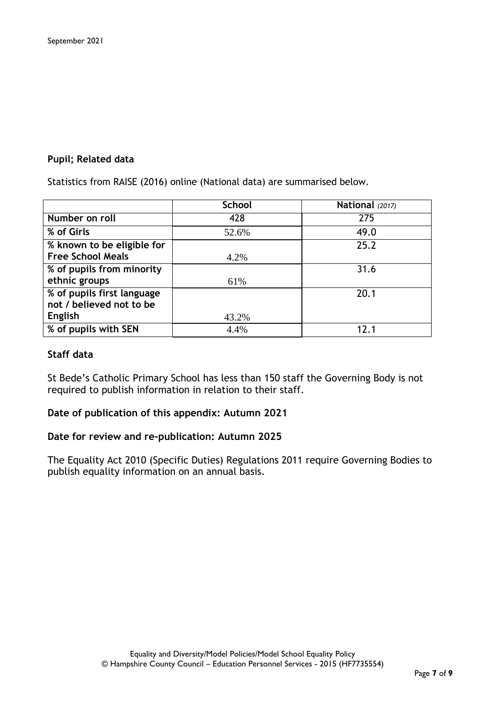#### **Pupil; Related data**

Statistics from RAISE (2016) online (National data) are summarised below.

|                            | <b>School</b> | National (2017) |  |
|----------------------------|---------------|-----------------|--|
| Number on roll             | 428           | 275             |  |
| % of Girls                 | 52.6%         | 49.0            |  |
| % known to be eligible for |               | 25.2            |  |
| <b>Free School Meals</b>   | 4.2%          |                 |  |
| % of pupils from minority  |               | 31.6            |  |
| ethnic groups              | 61%           |                 |  |
| % of pupils first language |               | 20.1            |  |
| not / believed not to be   |               |                 |  |
| <b>English</b>             | 43.2%         |                 |  |
| % of pupils with SEN       | 4.4%          | 12 <sub>1</sub> |  |

#### **Staff data**

St Bede's Catholic Primary School has less than 150 staff the Governing Body is not required to publish information in relation to their staff.

#### **Date of publication of this appendix: Autumn 2021**

#### **Date for review and re-publication: Autumn 2025**

The Equality Act 2010 (Specific Duties) Regulations 2011 require Governing Bodies to publish equality information on an annual basis.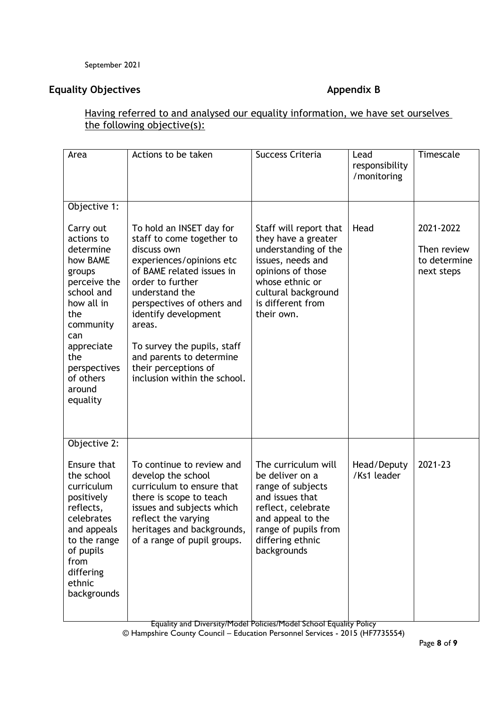## **Equality Objectives Appendix B**

## Having referred to and analysed our equality information, we have set ourselves the following objective(s):

| Area                                                                                                                                                                                                                      | Actions to be taken                                                                                                                                                                                                                                                                                                                                    | Success Criteria                                                                                                                                                                             | Lead<br>responsibility<br>/monitoring | Timescale                                              |
|---------------------------------------------------------------------------------------------------------------------------------------------------------------------------------------------------------------------------|--------------------------------------------------------------------------------------------------------------------------------------------------------------------------------------------------------------------------------------------------------------------------------------------------------------------------------------------------------|----------------------------------------------------------------------------------------------------------------------------------------------------------------------------------------------|---------------------------------------|--------------------------------------------------------|
| Objective 1:<br>Carry out<br>actions to<br>determine<br>how BAME<br>groups<br>perceive the<br>school and<br>how all in<br>the<br>community<br>can<br>appreciate<br>the<br>perspectives<br>of others<br>around<br>equality | To hold an INSET day for<br>staff to come together to<br>discuss own<br>experiences/opinions etc<br>of BAME related issues in<br>order to further<br>understand the<br>perspectives of others and<br>identify development<br>areas.<br>To survey the pupils, staff<br>and parents to determine<br>their perceptions of<br>inclusion within the school. | Staff will report that<br>they have a greater<br>understanding of the<br>issues, needs and<br>opinions of those<br>whose ethnic or<br>cultural background<br>is different from<br>their own. | Head                                  | 2021-2022<br>Then review<br>to determine<br>next steps |
| Objective 2:<br>Ensure that<br>the school<br>curriculum<br>positively<br>reflects,<br>celebrates<br>and appeals<br>to the range<br>of pupils<br>from<br>differing<br>ethnic<br>backgrounds                                | To continue to review and<br>develop the school<br>curriculum to ensure that<br>there is scope to teach<br>issues and subjects which<br>reflect the varying<br>heritages and backgrounds,<br>of a range of pupil groups.                                                                                                                               | The curriculum will<br>be deliver on a<br>range of subjects<br>and issues that<br>reflect, celebrate<br>and appeal to the<br>range of pupils from<br>differing ethnic<br>backgrounds         | Head/Deputy<br>/Ks1 leader            | 2021-23                                                |

Equality and Diversity/Model Policies/Model School Equality Policy

© Hampshire County Council – Education Personnel Services - 2015 (HF7735554)